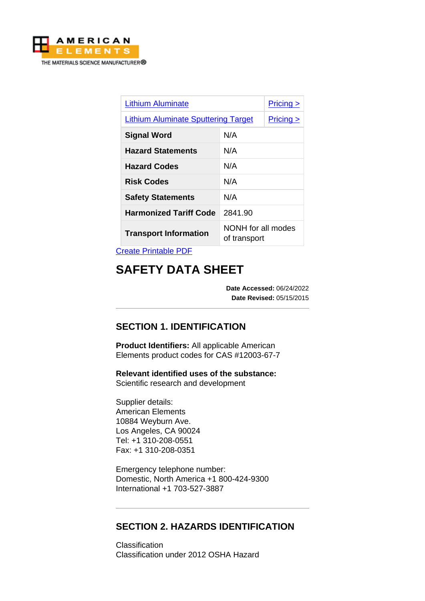

| <b>Lithium Aluminate</b>                   |                                    | Pricing >                        |
|--------------------------------------------|------------------------------------|----------------------------------|
| <b>Lithium Aluminate Sputtering Target</b> |                                    | <u>Pricing <math>\geq</math></u> |
| <b>Signal Word</b>                         | N/A                                |                                  |
| <b>Hazard Statements</b>                   | N/A                                |                                  |
| <b>Hazard Codes</b>                        | N/A                                |                                  |
| <b>Risk Codes</b>                          | N/A                                |                                  |
| <b>Safety Statements</b>                   | N/A                                |                                  |
| <b>Harmonized Tariff Code</b>              | 2841.90                            |                                  |
| <b>Transport Information</b>               | NONH for all modes<br>of transport |                                  |

[Create Printable PDF](https://www.americanelements.com/printpdf/cas/12003-67-7/sds)

# **SAFETY DATA SHEET**

**Date Accessed:** 06/24/2022 **Date Revised:** 05/15/2015

# **SECTION 1. IDENTIFICATION**

**Product Identifiers:** All applicable American Elements product codes for CAS #12003-67-7

**Relevant identified uses of the substance:** Scientific research and development

Supplier details: American Elements 10884 Weyburn Ave. Los Angeles, CA 90024 Tel: +1 310-208-0551 Fax: +1 310-208-0351

Emergency telephone number: Domestic, North America +1 800-424-9300 International +1 703-527-3887

## **SECTION 2. HAZARDS IDENTIFICATION**

**Classification** Classification under 2012 OSHA Hazard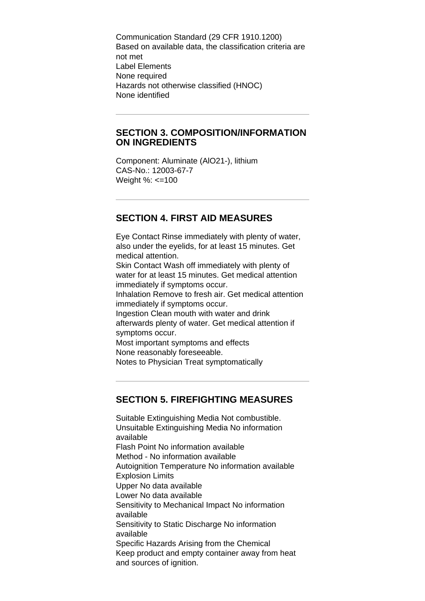Communication Standard (29 CFR 1910.1200) Based on available data, the classification criteria are not met Label Elements None required Hazards not otherwise classified (HNOC) None identified

#### **SECTION 3. COMPOSITION/INFORMATION ON INGREDIENTS**

Component: Aluminate (AlO21-), lithium CAS-No.: 12003-67-7 Weight %: <=100

# **SECTION 4. FIRST AID MEASURES**

Eye Contact Rinse immediately with plenty of water, also under the eyelids, for at least 15 minutes. Get medical attention. Skin Contact Wash off immediately with plenty of water for at least 15 minutes. Get medical attention immediately if symptoms occur. Inhalation Remove to fresh air. Get medical attention immediately if symptoms occur. Ingestion Clean mouth with water and drink afterwards plenty of water. Get medical attention if symptoms occur. Most important symptoms and effects None reasonably foreseeable. Notes to Physician Treat symptomatically

#### **SECTION 5. FIREFIGHTING MEASURES**

Suitable Extinguishing Media Not combustible. Unsuitable Extinguishing Media No information available Flash Point No information available Method - No information available Autoignition Temperature No information available Explosion Limits Upper No data available Lower No data available Sensitivity to Mechanical Impact No information available Sensitivity to Static Discharge No information available Specific Hazards Arising from the Chemical Keep product and empty container away from heat and sources of ignition.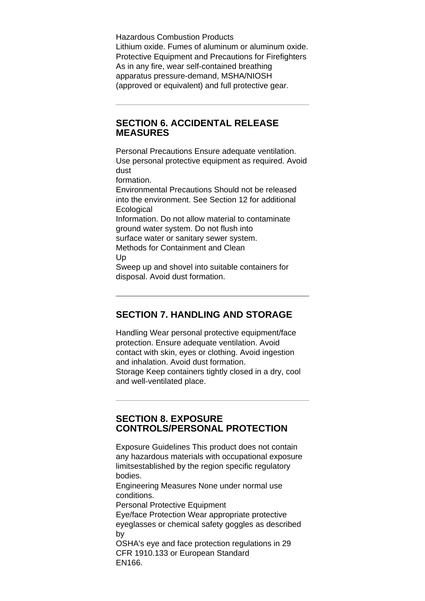Hazardous Combustion Products Lithium oxide. Fumes of aluminum or aluminum oxide. Protective Equipment and Precautions for Firefighters As in any fire, wear self-contained breathing apparatus pressure-demand, MSHA/NIOSH (approved or equivalent) and full protective gear.

#### **SECTION 6. ACCIDENTAL RELEASE MEASURES**

Personal Precautions Ensure adequate ventilation. Use personal protective equipment as required. Avoid dust

formation.

Environmental Precautions Should not be released into the environment. See Section 12 for additional **Ecological** 

Information. Do not allow material to contaminate ground water system. Do not flush into surface water or sanitary sewer system. Methods for Containment and Clean

Up

Sweep up and shovel into suitable containers for disposal. Avoid dust formation.

# **SECTION 7. HANDLING AND STORAGE**

Handling Wear personal protective equipment/face protection. Ensure adequate ventilation. Avoid contact with skin, eyes or clothing. Avoid ingestion and inhalation. Avoid dust formation. Storage Keep containers tightly closed in a dry, cool and well-ventilated place.

## **SECTION 8. EXPOSURE CONTROLS/PERSONAL PROTECTION**

Exposure Guidelines This product does not contain any hazardous materials with occupational exposure limitsestablished by the region specific regulatory bodies.

Engineering Measures None under normal use conditions.

Personal Protective Equipment

Eye/face Protection Wear appropriate protective eyeglasses or chemical safety goggles as described by

OSHA's eye and face protection regulations in 29 CFR 1910.133 or European Standard EN166.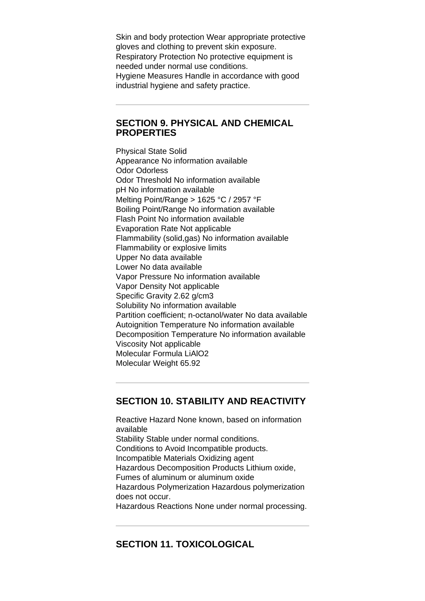Skin and body protection Wear appropriate protective gloves and clothing to prevent skin exposure. Respiratory Protection No protective equipment is needed under normal use conditions. Hygiene Measures Handle in accordance with good industrial hygiene and safety practice.

#### **SECTION 9. PHYSICAL AND CHEMICAL PROPERTIES**

Physical State Solid Appearance No information available Odor Odorless Odor Threshold No information available pH No information available Melting Point/Range > 1625 °C / 2957 °F Boiling Point/Range No information available Flash Point No information available Evaporation Rate Not applicable Flammability (solid,gas) No information available Flammability or explosive limits Upper No data available Lower No data available Vapor Pressure No information available Vapor Density Not applicable Specific Gravity 2.62 g/cm3 Solubility No information available Partition coefficient; n-octanol/water No data available Autoignition Temperature No information available Decomposition Temperature No information available Viscosity Not applicable Molecular Formula LiAlO2 Molecular Weight 65.92

#### **SECTION 10. STABILITY AND REACTIVITY**

Reactive Hazard None known, based on information available Stability Stable under normal conditions. Conditions to Avoid Incompatible products. Incompatible Materials Oxidizing agent Hazardous Decomposition Products Lithium oxide, Fumes of aluminum or aluminum oxide Hazardous Polymerization Hazardous polymerization does not occur. Hazardous Reactions None under normal processing.

# **SECTION 11. TOXICOLOGICAL**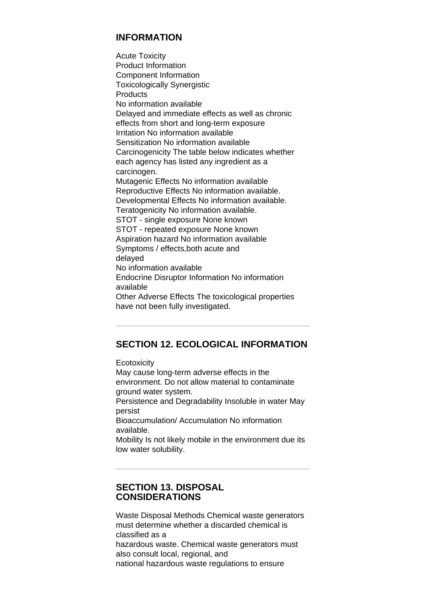## **INFORMATION**

Acute Toxicity Product Information Component Information Toxicologically Synergistic **Products** No information available Delayed and immediate effects as well as chronic effects from short and long-term exposure Irritation No information available Sensitization No information available Carcinogenicity The table below indicates whether each agency has listed any ingredient as a carcinogen. Mutagenic Effects No information available Reproductive Effects No information available. Developmental Effects No information available. Teratogenicity No information available. STOT - single exposure None known STOT - repeated exposure None known Aspiration hazard No information available Symptoms / effects,both acute and delayed No information available Endocrine Disruptor Information No information available Other Adverse Effects The toxicological properties have not been fully investigated.

# **SECTION 12. ECOLOGICAL INFORMATION**

**Ecotoxicity** May cause long-term adverse effects in the environment. Do not allow material to contaminate ground water system. Persistence and Degradability Insoluble in water May persist Bioaccumulation/ Accumulation No information available. Mobility Is not likely mobile in the environment due its low water solubility.

#### **SECTION 13. DISPOSAL CONSIDERATIONS**

Waste Disposal Methods Chemical waste generators must determine whether a discarded chemical is classified as a hazardous waste. Chemical waste generators must also consult local, regional, and national hazardous waste regulations to ensure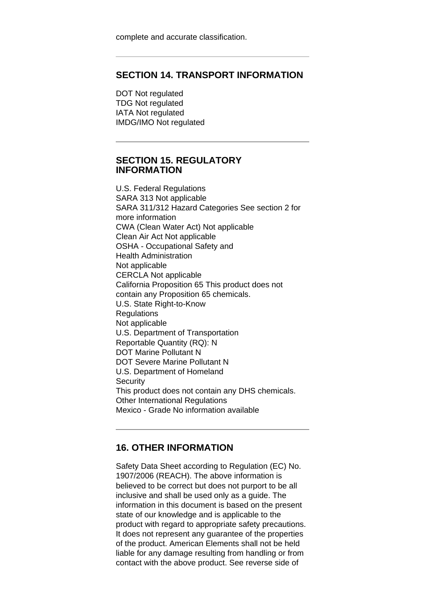## **SECTION 14. TRANSPORT INFORMATION**

DOT Not regulated TDG Not regulated IATA Not regulated IMDG/IMO Not regulated

#### **SECTION 15. REGULATORY INFORMATION**

U.S. Federal Regulations SARA 313 Not applicable SARA 311/312 Hazard Categories See section 2 for more information CWA (Clean Water Act) Not applicable Clean Air Act Not applicable OSHA - Occupational Safety and Health Administration Not applicable CERCLA Not applicable California Proposition 65 This product does not contain any Proposition 65 chemicals. U.S. State Right-to-Know **Regulations** Not applicable U.S. Department of Transportation Reportable Quantity (RQ): N DOT Marine Pollutant N DOT Severe Marine Pollutant N U.S. Department of Homeland **Security** This product does not contain any DHS chemicals. Other International Regulations Mexico - Grade No information available

#### **16. OTHER INFORMATION**

Safety Data Sheet according to Regulation (EC) No. 1907/2006 (REACH). The above information is believed to be correct but does not purport to be all inclusive and shall be used only as a guide. The information in this document is based on the present state of our knowledge and is applicable to the product with regard to appropriate safety precautions. It does not represent any guarantee of the properties of the product. American Elements shall not be held liable for any damage resulting from handling or from contact with the above product. See reverse side of